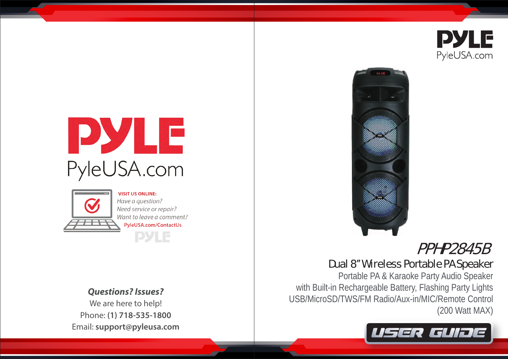





**VISIT US ONLINE:** Have a question? Need service or repair? Want to leave a comment? PyleUSA.com/ContactUs **PYLE** 

*Questions? Issues?*

We are here to help! Phone: **(1) 718-535-1800** Email: **support@pyleusa.com**



# PPHP2845B

# Dual 8'' Wireless Portable PA Speaker

Portable PA & Karaoke Party Audio Speaker with Built-in Rechargeable Battery, Flashing Party Lights USB/MicroSD/TWS/FM Radio/Aux-in/MIC/Remote Control (200 Watt MAX)

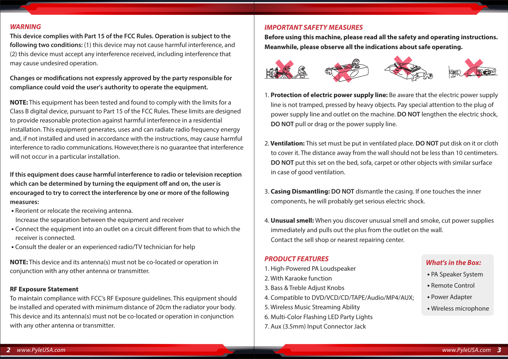#### *WARNING*

**This device complies with Part 15 of the FCC Rules. Operation is subject to the following two conditions:** (1) this device may not cause harmful interference, and (2) this device must accept any interference received, including interference that may cause undesired operation.

Changes or modifications not expressly approved by the party responsible for **compliance could void the user's authority to operate the equipment.**

**NOTE:** This equipment has been tested and found to comply with the limits for a Class B digital device, pursuant to Part 15 of the FCC Rules. These limits are designed to provide reasonable protection against harmful interference in a residential installation. This equipment generates, uses and can radiate radio frequency energy and, if not installed and used in accordance with the instructions, may cause harmful interference to radio communications. However,there is no guarantee that interference will not occur in a particular installation.

**If this equipment does cause harmful interference to radio or television reception**  which can be determined by turning the equipment off and on, the user is **encouraged to try to correct the interference by one or more of the following measures:**

- Reorient or relocate the receiving antenna. Increase the separation between the equipment and receiver
- Connect the equipment into an outlet on a circuit different from that to which the receiver is connected.
- Consult the dealer or an experienced radio/TV technician for help

**NOTE:** This device and its antenna(s) must not be co-located or operation in conjunction with any other antenna or transmitter.

#### **RF Exposure Statement**

To maintain compliance with FCC's RF Exposure guidelines. This equipment should be installed and operated with minimum distance of 20cm the radiator your body. This device and its antenna(s) must not be co-located or operation in conjunction with any other antenna or transmitter.

# *IMPORTANT SAFETY MEASURES*

**Before using this machine, please read all the safety and operating instructions. Meanwhile, please observe all the indications about safe operating.**



- 1. **Protection of electric power supply line:** Be aware that the electric power supply line is not tramped, pressed by heavy objects. Pay special attention to the plug of power supply line and outlet on the machine. **DO NOT** lengthen the electric shock, **DO NOT** pull or drag or the power supply line.
- 2. **Ventilation:** This set must be put in ventilated place. **DO NOT** put disk on it or cloth to cover it. The distance away from the wall should not be less than 10 centimeters. **DO NOT** put this set on the bed, sofa, carpet or other objects with similar surface in case of good ventilation.
- 3. **Casing Dismantling: DO NOT** dismantle the casing. If one touches the inner components, he will probably get serious electric shock.
- 4. **Unusual smell:** When you discover unusual smell and smoke, cut power supplies immediately and pulls out the plus from the outlet on the wall. Contact the sell shop or nearest repairing center.

# *PRODUCT FEATURES*

- 1. High-Powered PA Loudspeaker
- 2. With Karaoke function
- 3. Bass & Treble Adjust Knobs
- 4. Compatible to DVD/VCD/CD/TAPE/Audio/MP4/AUX;
- 5. Wireless Music Streaming Ability
- 6. Multi-Color Flashing LED Party Lights
- 7. Aux (3.5mm) Input Connector Jack

# *What's in the Box:*

- PA Speaker System
- Remote Control
- Power Adapter
- Wireless microphone